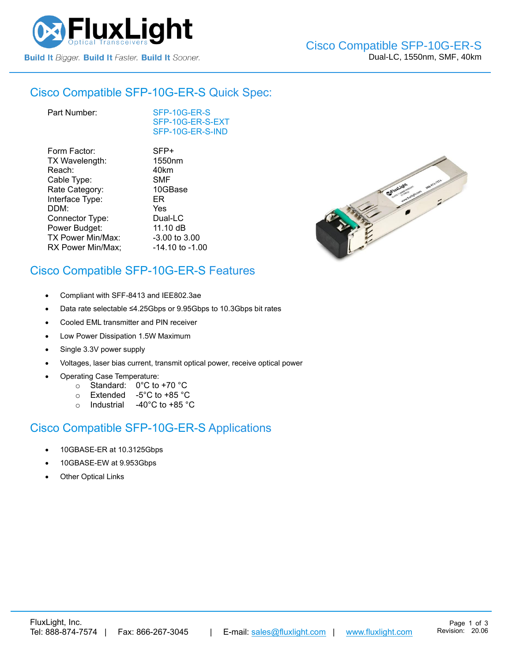

#### Cisco Compatible [SFP-10G-ER-S](https://www.fluxlight.com/sfp-10g-er-s/) Quick Spec:

| Part Number: |
|--------------|
|--------------|

[SFP-10G-ER-S](https://www.fluxlight.com/sfp-10g-er-s/) [SFP-10G-ER-S-](https://www.fluxlight.com/sfp-10g-er-s/)EXT [SFP-10G-ER-S-](https://www.fluxlight.com/sfp-10g-er-s/)IND

| Form Factor:             | SFP+               |
|--------------------------|--------------------|
| TX Wavelength:           | 1550 <sub>nm</sub> |
| Reach:                   | 40km               |
| Cable Type:              | <b>SMF</b>         |
| Rate Category:           | 10GBase            |
| Interface Type:          | ER                 |
| DDM:                     | Yes                |
| Connector Type:          | Dual-LC            |
| Power Budget:            | 11.10 dB           |
| <b>TX Power Min/Max:</b> | $-3.00$ to $3.00$  |
| RX Power Min/Max;        | -14.10 to -1.00    |



## Cisco Compatible [SFP-10G-ER-S](https://www.fluxlight.com/sfp-10g-er-s/) Features

- Compliant with SFF-8413 and IEE802.3ae
- Data rate selectable ≤4.25Gbps or 9.95Gbps to 10.3Gbps bit rates
- Cooled EML transmitter and PIN receiver
- Low Power Dissipation 1.5W Maximum
- Single 3.3V power supply
- Voltages, laser bias current, transmit optical power, receive optical power
- Operating Case Temperature:
	- o Standard: 0°C to +70 °C
	- o Extended -5°C to +85 °C
	- o Industrial -40°C to +85 °C

### Cisco Compatible [SFP-10G-ER-S](https://www.fluxlight.com/sfp-10g-er-s/) Applications

- 10GBASE-ER at 10.3125Gbps
- 10GBASE-EW at 9.953Gbps
- **Other Optical Links**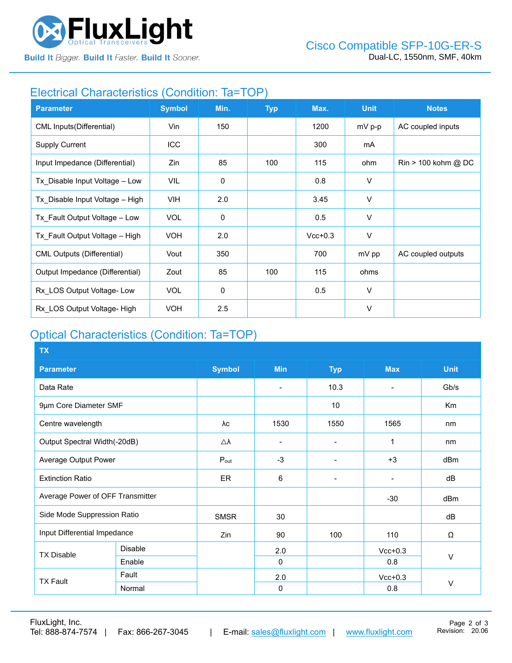

**Build It Bigger. Build It Faster. Build It Sooner.** 

### Electrical Characteristics (Condition: Ta=TOP)

| <b>Parameter</b>                  | <b>Symbol</b> | Min.        | <b>Typ</b> | Max.      | <b>Unit</b> | <b>Notes</b>                          |
|-----------------------------------|---------------|-------------|------------|-----------|-------------|---------------------------------------|
| CML Inputs (Differential)         | Vin           | 150         |            | 1200      | $mV$ p-p    | AC coupled inputs                     |
| <b>Supply Current</b>             | <b>ICC</b>    |             |            | 300       | mA          |                                       |
| Input Impedance (Differential)    | Zin           | 85          | 100        | 115       | ohm         | $\text{Rin} > 100 \text{ kohm } @$ DC |
| Tx_Disable Input Voltage - Low    | VIL           | $\mathbf 0$ |            | 0.8       | V           |                                       |
| Tx Disable Input Voltage - High   | <b>VIH</b>    | 2.0         |            | 3.45      | V           |                                       |
| Tx Fault Output Voltage - Low     | <b>VOL</b>    | $\mathbf 0$ |            | 0.5       | V           |                                       |
| Tx Fault Output Voltage - High    | <b>VOH</b>    | 2.0         |            | $Vcc+0.3$ | V           |                                       |
| <b>CML Outputs (Differential)</b> | Vout          | 350         |            | 700       | mV pp       | AC coupled outputs                    |
| Output Impedance (Differential)   | Zout          | 85          | 100        | 115       | ohms        |                                       |
| Rx LOS Output Voltage-Low         | <b>VOL</b>    | 0           |            | 0.5       | V           |                                       |
| Rx LOS Output Voltage-High        | <b>VOH</b>    | 2.5         |            |           | $\vee$      |                                       |

# Optical Characteristics (Condition: Ta=TOP)

| <b>TX</b>                        |                |                     |                          |                          |                          |                |  |
|----------------------------------|----------------|---------------------|--------------------------|--------------------------|--------------------------|----------------|--|
| <b>Parameter</b>                 |                | <b>Symbol</b>       | <b>Min</b>               | <b>Typ</b>               | <b>Max</b>               | <b>Unit</b>    |  |
| Data Rate                        |                |                     | $\overline{\phantom{0}}$ | 10.3                     | $\blacksquare$           | Gb/s           |  |
| 9µm Core Diameter SMF            |                |                     |                          | 10                       |                          | K <sub>m</sub> |  |
| Centre wavelength                |                | λc                  | 1530                     | 1550                     | 1565                     | nm             |  |
| Output Spectral Width(-20dB)     |                | $\triangle \lambda$ | $\overline{\phantom{0}}$ |                          | 1                        | nm             |  |
| Average Output Power             |                | $P_{\text{out}}$    | $-3$                     |                          | $+3$                     | dBm            |  |
| <b>Extinction Ratio</b>          |                | <b>ER</b>           | 6                        | $\overline{\phantom{0}}$ | $\overline{\phantom{a}}$ | dB             |  |
| Average Power of OFF Transmitter |                |                     |                          |                          | $-30$                    | dBm            |  |
| Side Mode Suppression Ratio      |                | <b>SMSR</b>         | 30                       |                          |                          | dB             |  |
| Input Differential Impedance     |                | Zin                 | 90                       | 100                      | 110                      | Ω              |  |
| <b>TX Disable</b>                | <b>Disable</b> |                     | 2.0                      |                          | $Vcc+0.3$                |                |  |
|                                  | Enable         |                     | $\Omega$                 |                          | 0.8                      | V              |  |
| <b>TX Fault</b>                  | Fault          |                     | 2.0                      |                          | $Vcc+0.3$                |                |  |
|                                  | Normal         |                     | $\mathbf 0$              |                          | 0.8                      | $\vee$         |  |